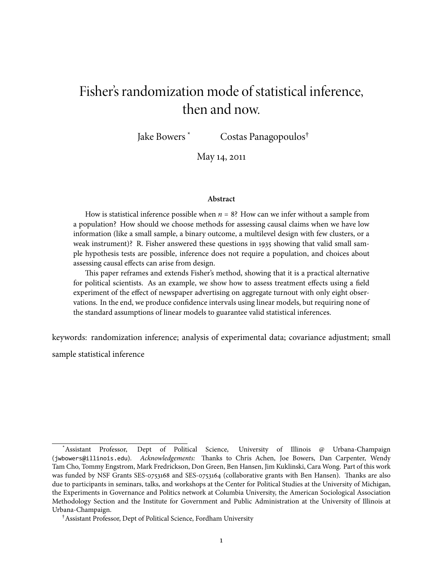# Fisher's randomization mode of statistical inference, then and now.

Costas Panagopoulos<sup>†</sup> Jake Bowers<sup>\*</sup>

May 14, 2011

#### Abstract

How is statistical inference possible when  $n = 8$ ? How can we infer without a sample from a population? How should we choose methods for assessing causal claims when we have low information (like a small sample, a binary outcome, a multilevel design with few clusters, or a weak instrument)? R. Fisher answered these questions in 1935 showing that valid small sample hypothesis tests are possible, inference does not require a population, and choices about assessing causal effects can arise from design.

This paper reframes and extends Fisher's method, showing that it is a practical alternative for political scientists. As an example, we show how to assess treatment effects using a field experiment of the effect of newspaper advertising on aggregate turnout with only eight observations. In the end, we produce confidence intervals using linear models, but requiring none of the standard assumptions of linear models to guarantee valid statistical inferences.

keywords: randomization inference; analysis of experimental data; covariance adjustment; small sample statistical inference

Dept of Political Science, Assistant Professor, University of Illinois @ Urbana-Champaign (jwbowers@illinois.edu). Acknowledgements: Thanks to Chris Achen, Joe Bowers, Dan Carpenter, Wendy Tam Cho, Tommy Engstrom, Mark Fredrickson, Don Green, Ben Hansen, Jim Kuklinski, Cara Wong. Part of this work was funded by NSF Grants SES-0753168 and SES-0753164 (collaborative grants with Ben Hansen). Thanks are also due to participants in seminars, talks, and workshops at the Center for Political Studies at the University of Michigan, the Experiments in Governance and Politics network at Columbia University, the American Sociological Association Methodology Section and the Institute for Government and Public Administration at the University of Illinois at Urbana-Champaign.

<sup>&</sup>lt;sup>†</sup> Assistant Professor, Dept of Political Science, Fordham University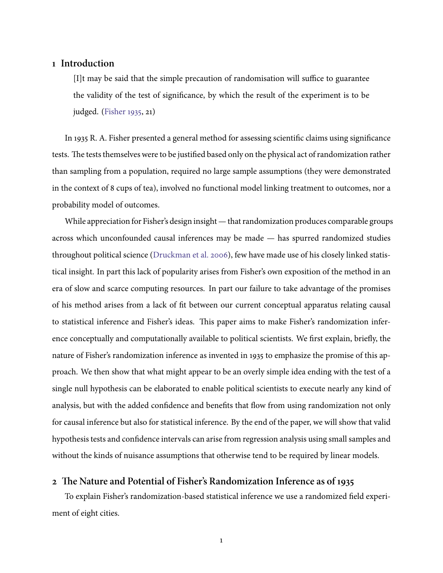### 1 Introduction

[I] t may be said that the simple precaution of randomisation will suffice to guarantee the validity of the test of significance, by which the result of the experiment is to be judged. (Fisher 1935, 21)

In 1935 R. A. Fisher presented a general method for assessing scientific claims using significance tests. The tests themselves were to be justified based only on the physical act of randomization rather than sampling from a population, required no large sample assumptions (they were demonstrated in the context of 8 cups of tea), involved no functional model linking treatment to outcomes, nor a probability model of outcomes.

While appreciation for Fisher's design insight — that randomization produces comparable groups across which unconfounded causal inferences may be made - has spurred randomized studies throughout political science (Druckman et al. 2006), few have made use of his closely linked statistical insight. In part this lack of popularity arises from Fisher's own exposition of the method in an era of slow and scarce computing resources. In part our failure to take advantage of the promises of his method arises from a lack of fit between our current conceptual apparatus relating causal to statistical inference and Fisher's ideas. This paper aims to make Fisher's randomization inference conceptually and computationally available to political scientists. We first explain, briefly, the nature of Fisher's randomization inference as invented in 1935 to emphasize the promise of this approach. We then show that what might appear to be an overly simple idea ending with the test of a single null hypothesis can be elaborated to enable political scientists to execute nearly any kind of analysis, but with the added confidence and benefits that flow from using randomization not only for causal inference but also for statistical inference. By the end of the paper, we will show that valid hypothesis tests and confidence intervals can arise from regression analysis using small samples and without the kinds of nuisance assumptions that otherwise tend to be required by linear models.

# 2 The Nature and Potential of Fisher's Randomization Inference as of 1935

<span id="page-1-0"></span>To explain Fisher's randomization-based statistical inference we use a randomized field experiment of eight cities.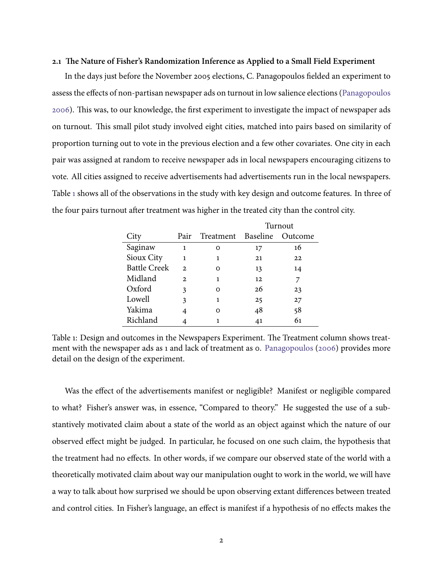#### 2.1 The Nature of Fisher's Randomization Inference as Applied to a Small Field Experiment

In the days just before the November 2005 elections, C. Panagopoulos fielded an experiment to assess the effects of non-partisan newspaper ads on turnout in low salience elections (Panagopoulos 2006). This was, to our knowledge, the first experiment to investigate the impact of newspaper ads on turnout. This small pilot study involved eight cities, matched into pairs based on similarity of proportion turning out to vote in the previous election and a few other covariates. One city in each pair was assigned at random to receive newspaper ads in local newspapers encouraging citizens to vote. All cities assigned to receive advertisements had advertisements run in the local newspapers. Table 1 shows all of the observations in the study with key design and outcome features. In three of the four pairs turnout after treatment was higher in the treated city than the control city.

<span id="page-2-0"></span>

|                     |                |                    | Turnout |                |
|---------------------|----------------|--------------------|---------|----------------|
| City                | Pair           | Treatment Baseline |         | <b>Outcome</b> |
| Saginaw             | 1              | Ω                  | 17      | 16             |
| Sioux City          | 1              | 1                  | 21      | 22             |
| <b>Battle Creek</b> | $\mathfrak{D}$ | Ω                  | 13      | 14             |
| Midland             | $\mathbf{2}$   | 1                  | 12      |                |
| Oxford              | 3              | $\Omega$           | 26      | 23             |
| Lowell              | 3              | 1                  | 25      | 27             |
| Yakima              | 4              | റ                  | 48      | 58             |
| Richland            |                |                    | 41      | 61             |

Table 1: Design and outcomes in the Newspapers Experiment. The Treatment column shows treatment with the newspaper ads as 1 and lack of treatment as 0. Panagopoulos (2006) provides more detail on the design of the experiment.

Was the effect of the advertisements manifest or negligible? Manifest or negligible compared to what? Fisher's answer was, in essence, "Compared to theory." He suggested the use of a substantively motivated claim about a state of the world as an object against which the nature of our observed effect might be judged. In particular, he focused on one such claim, the hypothesis that the treatment had no effects. In other words, if we compare our observed state of the world with a theoretically motivated claim about way our manipulation ought to work in the world, we will have a way to talk about how surprised we should be upon observing extant differences between treated and control cities. In Fisher's language, an effect is manifest if a hypothesis of no effects makes the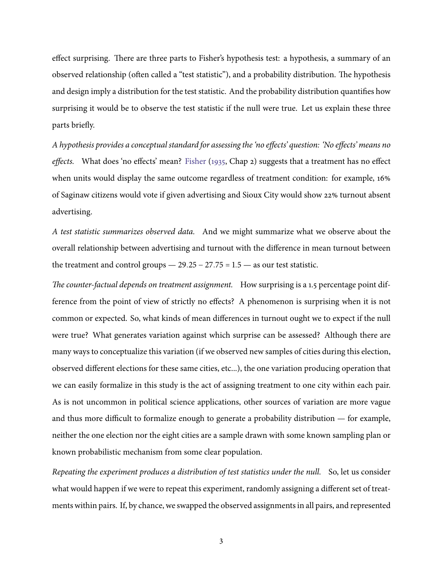effect surprising. There are three parts to Fisher's hypothesis test: a hypothesis, a summary of an observed relationship (often called a "test statistic"), and a probability distribution. The hypothesis and design imply a distribution for the test statistic. And the probability distribution quantifies how surprising it would be to observe the test statistic if the null were true. Let us explain these three parts briefly.

A hypothesis provides a conceptual standard for assessing the 'no effects' question: 'No effects' means no effects. What does 'no effects' mean? Fisher (1935, Chap 2) suggests that a treatment has no effect when units would display the same outcome regardless of treatment condition: for example, 16% of Saginaw citizens would vote if given advertising and Sioux City would show 22% turnout absent advertising.

A test statistic summarizes observed data. And we might summarize what we observe about the overall relationship between advertising and turnout with the difference in mean turnout between the treatment and control groups  $-29.25 - 27.75 = 1.5 -$  as our test statistic.

The counter-factual depends on treatment assignment. How surprising is a 1.5 percentage point difference from the point of view of strictly no effects? A phenomenon is surprising when it is not common or expected. So, what kinds of mean differences in turnout ought we to expect if the null were true? What generates variation against which surprise can be assessed? Although there are many ways to conceptualize this variation (if we observed new samples of cities during this election, observed different elections for these same cities, etc...), the one variation producing operation that we can easily formalize in this study is the act of assigning treatment to one city within each pair. As is not uncommon in political science applications, other sources of variation are more vague and thus more difficult to formalize enough to generate a probability distribution — for example, neither the one election nor the eight cities are a sample drawn with some known sampling plan or known probabilistic mechanism from some clear population.

Repeating the experiment produces a distribution of test statistics under the null. So, let us consider what would happen if we were to repeat this experiment, randomly assigning a different set of treatments within pairs. If, by chance, we swapped the observed assignments in all pairs, and represented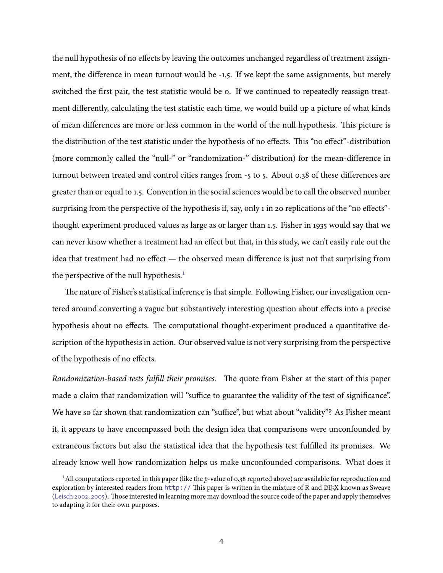the null hypothesis of no effects by leaving the outcomes unchanged regardless of treatment assignment, the difference in mean turnout would be -1.5. If we kept the same assignments, but merely switched the first pair, the test statistic would be o. If we continued to repeatedly reassign treatment differently, calculating the test statistic each time, we would build up a picture of what kinds of mean differences are more or less common in the world of the null hypothesis. This picture is the distribution of the test statistic under the hypothesis of no effects. This "no effect"-distribution (more commonly called the "null-" or "randomization-" distribution) for the mean-difference in turnout between treated and control cities ranges from -5 to 5. About 0.38 of these differences are greater than or equal to 1.5. Convention in the social sciences would be to call the observed number surprising from the perspective of the hypothesis if, say, only 1 in 20 replications of the "no effects"thought experiment produced values as large as or larger than 1.5. Fisher in 1935 would say that we can never know whether a treatment had an effect but that, in this study, we can't easily rule out the idea that treatment had no effect — the observed mean difference is just not that surprising from the perspective of the null hypothesis.<sup>1</sup>

The nature of Fisher's statistical inference is that simple. Following Fisher, our investigation centered around converting a vague but substantively interesting question about effects into a precise hypothesis about no effects. The computational thought-experiment produced a quantitative description of the hypothesis in action. Our observed value is not very surprising from the perspective of the hypothesis of no effects.

Randomization-based tests fulfill their promises. The quote from Fisher at the start of this paper made a claim that randomization will "suffice to guarantee the validity of the test of significance". We have so far shown that randomization can "suffice", but what about "validity"? As Fisher meant it, it appears to have encompassed both the design idea that comparisons were unconfounded by extraneous factors but also the statistical idea that the hypothesis test fulfilled its promises. We already know well how randomization helps us make unconfounded comparisons. What does it

<sup>&</sup>lt;sup>1</sup>All computations reported in this paper (like the p-value of 0.38 reported above) are available for reproduction and exploration by interested readers from http:// This paper is written in the mixture of R and ETEX known as Sweave (Leisch 2002, 2005). Those interested in learning more may download the source code of the paper and apply themselves to adapting it for their own purposes.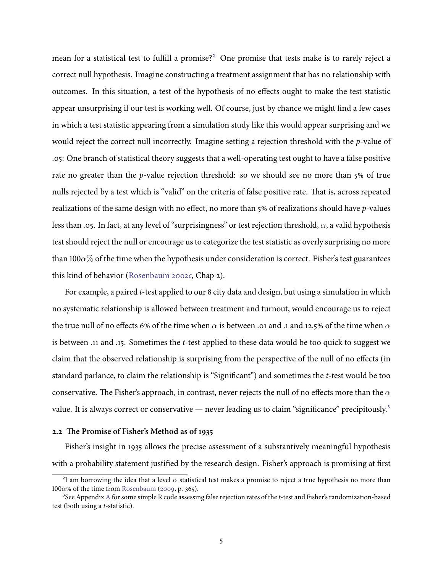mean for a statistical test to fulfill a promise?<sup>2</sup> One promise that tests make is to rarely reject a correct null hypothesis. Imagine constructing a treatment assignment that has no relationship with outcomes. In this situation, a test of the hypothesis of no effects ought to make the test statistic appear unsurprising if our test is working well. Of course, just by chance we might find a few cases in which a test statistic appearing from a simulation study like this would appear surprising and we would reject the correct null incorrectly. Imagine setting a rejection threshold with the  $p$ -value of .05: One branch of statistical theory suggests that a well-operating test ought to have a false positive rate no greater than the p-value rejection threshold: so we should see no more than 5% of true nulls rejected by a test which is "valid" on the criteria of false positive rate. That is, across repeated realizations of the same design with no effect, no more than  $5\%$  of realizations should have p-values less than .05. In fact, at any level of "surprisingness" or test rejection threshold,  $\alpha$ , a valid hypothesis test should reject the null or encourage us to categorize the test statistic as overly surprising no more than 100 $\alpha$ % of the time when the hypothesis under consideration is correct. Fisher's test guarantees this kind of behavior (Rosenbaum 2002c, Chap 2).

For example, a paired t-test applied to our 8 city data and design, but using a simulation in which no systematic relationship is allowed between treatment and turnout, would encourage us to reject the true null of no effects 6% of the time when  $\alpha$  is between .01 and .1 and 12.5% of the time when  $\alpha$ is between .11 and .15. Sometimes the *t*-test applied to these data would be too quick to suggest we claim that the observed relationship is surprising from the perspective of the null of no effects (in standard parlance, to claim the relationship is "Significant") and sometimes the *t*-test would be too conservative. The Fisher's approach, in contrast, never rejects the null of no effects more than the  $\alpha$ value. It is always correct or conservative — never leading us to claim "significance" precipitously.<sup>3</sup>

#### 2.2 The Promise of Fisher's Method as of 1935

Fisher's insight in 1935 allows the precise assessment of a substantively meaningful hypothesis with a probability statement justified by the research design. Fisher's approach is promising at first

<sup>&</sup>lt;sup>2</sup>I am borrowing the idea that a level  $\alpha$  statistical test makes a promise to reject a true hypothesis no more than  $100\alpha$ % of the time from Rosenbaum (2009, p. 365).

<sup>&</sup>lt;sup>3</sup>See Appendix A for some simple R code assessing false rejection rates of the t-test and Fisher's randomization-based test (both using a *t*-statistic).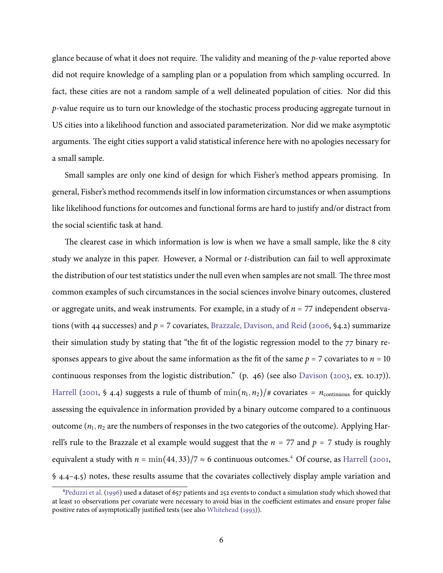glance because of what it does not require. The validity and meaning of the *p*-value reported above did not require knowledge of a sampling plan or a population from which sampling occurred. In fact, these cities are not a random sample of a well delineated population of cities. Nor did this p-value require us to turn our knowledge of the stochastic process producing aggregate turnout in US cities into a likelihood function and associated parameterization. Nor did we make asymptotic arguments. The eight cities support a valid statistical inference here with no apologies necessary for a small sample.

Small samples are only one kind of design for which Fisher's method appears promising. In general, Fisher's method recommends itself in low information circumstances or when assumptions like likelihood functions for outcomes and functional forms are hard to justify and/or distract from the social scientific task at hand.

The clearest case in which information is low is when we have a small sample, like the 8 city study we analyze in this paper. However, a Normal or *t*-distribution can fail to well approximate the distribution of our test statistics under the null even when samples are not small. The three most common examples of such circumstances in the social sciences involve binary outcomes, clustered or aggregate units, and weak instruments. For example, in a study of  $n = 77$  independent observations (with 44 successes) and  $p = 7$  covariates, Brazzale, Davison, and Reid (2006, §4.2) summarize their simulation study by stating that "the fit of the logistic regression model to the 77 binary responses appears to give about the same information as the fit of the same  $p = 7$  covariates to  $n = 10$ continuous responses from the logistic distribution." (p. 46) (see also Davison (2003, ex. 10.17)). Harrell (2001, § 4.4) suggests a rule of thumb of  $\min(n_1, n_2)/\#$  covariates =  $n_{\text{continuous}}$  for quickly assessing the equivalence in information provided by a binary outcome compared to a continuous outcome  $(n_1, n_2)$  are the numbers of responses in the two categories of the outcome). Applying Harrell's rule to the Brazzale et al example would suggest that the  $n = 77$  and  $p = 7$  study is roughly equivalent a study with  $n = \min(44, 33)/7 \approx 6$  continuous outcomes.<sup>4</sup> Of course, as Harrell (2001,  $\frac{1}{2}$  4.4–4.5) notes, these results assume that the covariates collectively display ample variation and

<sup>&</sup>lt;sup>4</sup>Peduzzi et al. (1996) used a dataset of 657 patients and 252 events to conduct a simulation study which showed that at least 10 observations per covariate were necessary to avoid bias in the coefficient estimates and ensure proper false positive rates of asymptotically justified tests (see also Whitehead (1993)).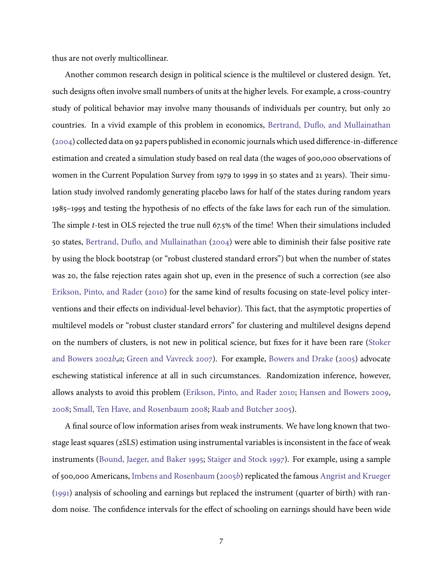thus are not overly multicollinear.

Another common research design in political science is the multilevel or clustered design. Yet, such designs often involve small numbers of units at the higher levels. For example, a cross-country study of political behavior may involve many thousands of individuals per country, but only 20 countries. In a vivid example of this problem in economics, Bertrand, Duflo, and Mullainathan (2004) collected data on 92 papers published in economic journals which used difference-in-difference estimation and created a simulation study based on real data (the wages of 900,000 observations of women in the Current Population Survey from 1979 to 1999 in 50 states and 21 years). Their simulation study involved randomly generating placebo laws for half of the states during random years 1985–1995 and testing the hypothesis of no effects of the fake laws for each run of the simulation. The simple *t*-test in OLS rejected the true null 67.5% of the time! When their simulations included 50 states, Bertrand, Duflo, and Mullainathan (2004) were able to diminish their false positive rate by using the block bootstrap (or "robust clustered standard errors") but when the number of states was 20, the false rejection rates again shot up, even in the presence of such a correction (see also Erikson, Pinto, and Rader (2010) for the same kind of results focusing on state-level policy interventions and their effects on individual-level behavior). This fact, that the asymptotic properties of multilevel models or "robust cluster standard errors" for clustering and multilevel designs depend on the numbers of clusters, is not new in political science, but fixes for it have been rare (Stoker and Bowers 2002b,a; Green and Vavreck 2007). For example, Bowers and Drake (2005) advocate eschewing statistical inference at all in such circumstances. Randomization inference, however, allows analysts to avoid this problem (Erikson, Pinto, and Rader 2010; Hansen and Bowers 2009, 2008; Small, Ten Have, and Rosenbaum 2008; Raab and Butcher 2005).

A final source of low information arises from weak instruments. We have long known that twostage least squares (2SLS) estimation using instrumental variables is inconsistent in the face of weak instruments (Bound, Jaeger, and Baker 1995; Staiger and Stock 1997). For example, using a sample of 500,000 Americans, Imbens and Rosenbaum (2005b) replicated the famous Angrist and Krueger (1991) analysis of schooling and earnings but replaced the instrument (quarter of birth) with random noise. The confidence intervals for the effect of schooling on earnings should have been wide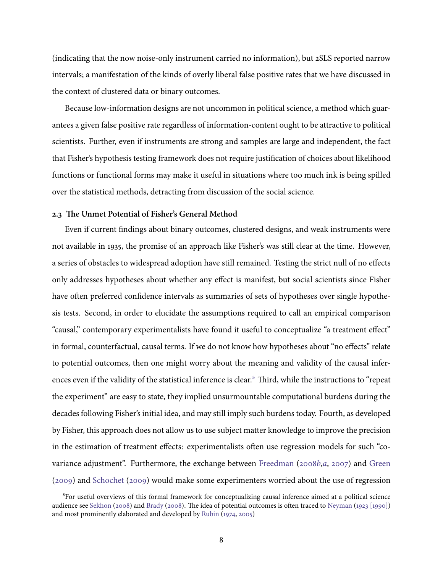(indicating that the now noise-only instrument carried no information), but 2SLS reported narrow intervals; a manifestation of the kinds of overly liberal false positive rates that we have discussed in the context of clustered data or binary outcomes.

Because low-information designs are not uncommon in political science, a method which guarantees a given false positive rate regardless of information-content ought to be attractive to political scientists. Further, even if instruments are strong and samples are large and independent, the fact that Fisher's hypothesis testing framework does not require justification of choices about likelihood functions or functional forms may make it useful in situations where too much ink is being spilled over the statistical methods, detracting from discussion of the social science.

#### 2.3 The Unmet Potential of Fisher's General Method

Even if current findings about binary outcomes, clustered designs, and weak instruments were not available in 1935, the promise of an approach like Fisher's was still clear at the time. However, a series of obstacles to widespread adoption have still remained. Testing the strict null of no effects only addresses hypotheses about whether any effect is manifest, but social scientists since Fisher have often preferred confidence intervals as summaries of sets of hypotheses over single hypothesis tests. Second, in order to elucidate the assumptions required to call an empirical comparison "causal," contemporary experimentalists have found it useful to conceptualize "a treatment effect" in formal, counterfactual, causal terms. If we do not know how hypotheses about "no effects" relate to potential outcomes, then one might worry about the meaning and validity of the causal inferences even if the validity of the statistical inference is clear.<sup>5</sup> Third, while the instructions to "repeat the experiment" are easy to state, they implied unsurmountable computational burdens during the decades following Fisher's initial idea, and may still imply such burdens today. Fourth, as developed by Fisher, this approach does not allow us to use subject matter knowledge to improve the precision in the estimation of treatment effects: experimentalists often use regression models for such "covariance adjustment". Furthermore, the exchange between Freedman (2008b,a, 2007) and Green (2009) and Schochet (2009) would make some experimenters worried about the use of regression

<sup>&</sup>lt;sup>5</sup>For useful overviews of this formal framework for conceptualizing causal inference aimed at a political science audience see Sekhon (2008) and Brady (2008). The idea of potential outcomes is often traced to Neyman (1923 [1990]) and most prominently elaborated and developed by Rubin (1974, 2005)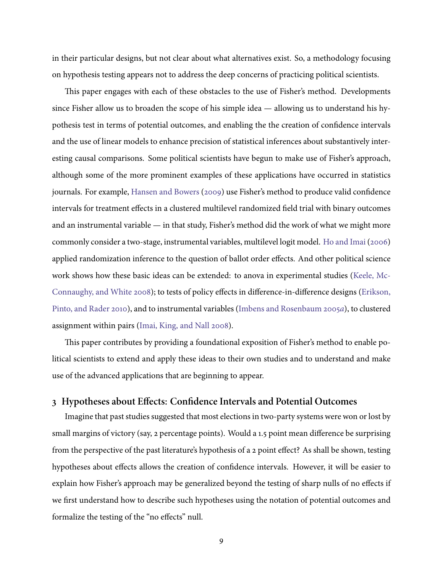in their particular designs, but not clear about what alternatives exist. So, a methodology focusing on hypothesis testing appears not to address the deep concerns of practicing political scientists.

This paper engages with each of these obstacles to the use of Fisher's method. Developments since Fisher allow us to broaden the scope of his simple idea  $-$  allowing us to understand his hypothesis test in terms of potential outcomes, and enabling the the creation of confidence intervals and the use of linear models to enhance precision of statistical inferences about substantively interesting causal comparisons. Some political scientists have begun to make use of Fisher's approach, although some of the more prominent examples of these applications have occurred in statistics journals. For example, Hansen and Bowers (2009) use Fisher's method to produce valid confidence intervals for treatment effects in a clustered multilevel randomized field trial with binary outcomes and an instrumental variable  $-$  in that study, Fisher's method did the work of what we might more commonly consider a two-stage, instrumental variables, multilevel logit model. Ho and Imai (2006) applied randomization inference to the question of ballot order effects. And other political science work shows how these basic ideas can be extended: to anova in experimental studies (Keele, Mc-Connaughy, and White 2008); to tests of policy effects in difference-in-difference designs (Erikson, Pinto, and Rader 2010), and to instrumental variables (Imbens and Rosenbaum 2005a), to clustered assignment within pairs (Imai, King, and Nall 2008).

This paper contributes by providing a foundational exposition of Fisher's method to enable political scientists to extend and apply these ideas to their own studies and to understand and make use of the advanced applications that are beginning to appear.

## <span id="page-9-0"></span>3 Hypotheses about Effects: Confidence Intervals and Potential Outcomes

Imagine that past studies suggested that most elections in two-party systems were won or lost by small margins of victory (say, 2 percentage points). Would a 1.5 point mean difference be surprising from the perspective of the past literature's hypothesis of a 2 point effect? As shall be shown, testing hypotheses about effects allows the creation of confidence intervals. However, it will be easier to explain how Fisher's approach may be generalized beyond the testing of sharp nulls of no effects if we first understand how to describe such hypotheses using the notation of potential outcomes and formalize the testing of the "no effects" null.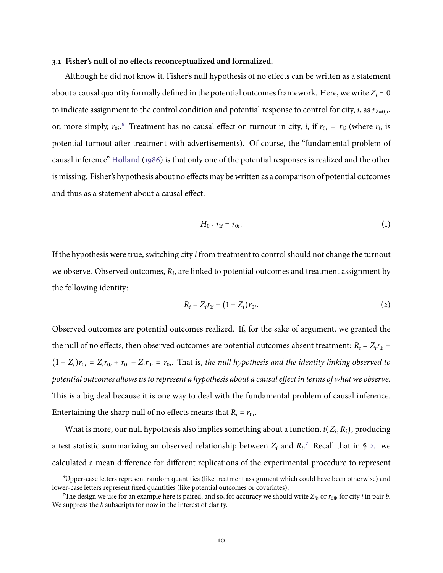#### 3.1 Fisher's null of no effects reconceptualized and formalized.

Although he did not know it, Fisher's null hypothesis of no effects can be written as a statement about a causal quantity formally defined in the potential outcomes framework. Here, we write  $Z_i = 0$ to indicate assignment to the control condition and potential response to control for city, *i*, as  $r_{Z=0,i}$ , or, more simply,  $r_{0i}$ .<sup>6</sup> Treatment has no causal effect on turnout in city, *i*, if  $r_{0i} = r_{1i}$  (where  $r_{1i}$  is potential turnout after treatment with advertisements). Of course, the "fundamental problem of causal inference" Holland (1986) is that only one of the potential responses is realized and the other is missing. Fisher's hypothesis about no effects may be written as a comparison of potential outcomes and thus as a statement about a causal effect:

$$
H_0: r_{1i} = r_{0i}.\tag{1}
$$

If the hypothesis were true, switching city *i* from treatment to control should not change the turnout we observe. Observed outcomes,  $R_i$ , are linked to potential outcomes and treatment assignment by the following identity:

<span id="page-10-0"></span>
$$
R_i = Z_i r_{1i} + (1 - Z_i) r_{0i}.
$$
 (2)

Observed outcomes are potential outcomes realized. If, for the sake of argument, we granted the the null of no effects, then observed outcomes are potential outcomes absent treatment:  $R_i = Z_i r_{1i} +$  $(1 - Z_i)r_{0i} = Z_i r_{0i} + r_{0i} - Z_i r_{0i} = r_{0i}$ . That is, the null hypothesis and the identity linking observed to potential outcomes allows us to represent a hypothesis about a causal effect in terms of what we observe. This is a big deal because it is one way to deal with the fundamental problem of causal inference. Entertaining the sharp null of no effects means that  $R_i = r_{0i}$ .

What is more, our null hypothesis also implies something about a function,  $t(Z_i, R_i)$ , producing a test statistic summarizing an observed relationship between  $Z_i$  and  $R_i$ .<sup>7</sup> Recall that in § 2.1 we calculated a mean difference for different replications of the experimental procedure to represent

<sup>&</sup>lt;sup>6</sup>Upper-case letters represent random quantities (like treatment assignment which could have been otherwise) and lower-case letters represent fixed quantities (like potential outcomes or covariates).

<sup>&</sup>lt;sup>7</sup>The design we use for an example here is paired, and so, for accuracy we should write  $Z_{ib}$  or  $r_{0ib}$  for city *i* in pair *b*. We suppress the  $b$  subscripts for now in the interest of clarity.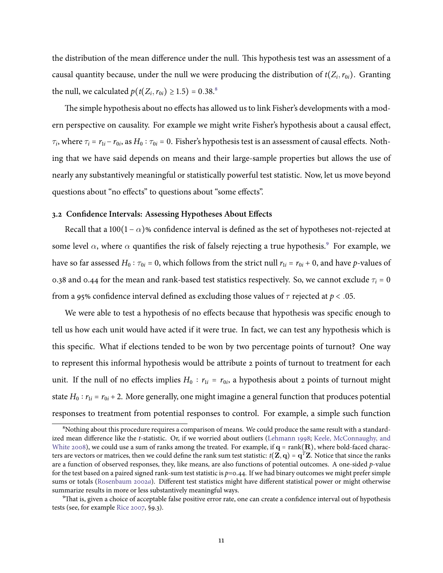the distribution of the mean difference under the null. This hypothesis test was an assessment of a causal quantity because, under the null we were producing the distribution of  $t(Z_i, r_{0i})$ . Granting the null, we calculated  $p(t(Z_i, r_{0i}) \ge 1.5) = 0.38$ .<sup>8</sup>

The simple hypothesis about no effects has allowed us to link Fisher's developments with a modern perspective on causality. For example we might write Fisher's hypothesis about a causal effect,  $\tau_i$ , where  $\tau_i = r_{1i} - r_{0i}$ , as  $H_0 : \tau_{0i} = 0$ . Fisher's hypothesis test is an assessment of causal effects. Nothing that we have said depends on means and their large-sample properties but allows the use of nearly any substantively meaningful or statistically powerful test statistic. Now, let us move beyond questions about "no effects" to questions about "some effects".

#### 3.2 Confidence Intervals: Assessing Hypotheses About Effects

Recall that a 100(1 –  $\alpha$ )% confidence interval is defined as the set of hypotheses not-rejected at some level  $\alpha$ , where  $\alpha$  quantifies the risk of falsely rejecting a true hypothesis.<sup>9</sup> For example, we have so far assessed  $H_0: \tau_{0i} = 0$ , which follows from the strict null  $r_{1i} = r_{0i} + 0$ , and have p-values of 0.38 and 0.44 for the mean and rank-based test statistics respectively. So, we cannot exclude  $\tau_i = 0$ from a 95% confidence interval defined as excluding those values of  $\tau$  rejected at  $p < .05$ .

We were able to test a hypothesis of no effects because that hypothesis was specific enough to tell us how each unit would have acted if it were true. In fact, we can test any hypothesis which is this specific. What if elections tended to be won by two percentage points of turnout? One way to represent this informal hypothesis would be attribute 2 points of turnout to treatment for each unit. If the null of no effects implies  $H_0$ :  $r_{1i} = r_{0i}$ , a hypothesis about 2 points of turnout might state  $H_0: r_{1i} = r_{0i} + 2$ . More generally, one might imagine a general function that produces potential responses to treatment from potential responses to control. For example, a simple such function

<sup>&</sup>lt;sup>8</sup>Nothing about this procedure requires a comparison of means. We could produce the same result with a standardized mean difference like the t-statistic. Or, if we worried about outliers (Lehmann 1998; Keele, McConnaughy, and White 2008), we could use a sum of ranks among the treated. For example, if  $q = rank(R)$ , where bold-faced characters are vectors or matrices, then we could define the rank sum test statistic:  $t(\mathbf{Z}, \mathbf{q}) = \mathbf{q}^T \mathbf{Z}$ . Notice that since the ranks are a function of observed responses, they, like means, are also functions of potential outcomes. A one-sided  $p$ -value for the test based on a paired signed rank-sum test statistic is  $p=0.44$ . If we had binary outcomes we might prefer simple sums or totals (Rosenbaum 2002a). Different test statistics might have different statistical power or might otherwise summarize results in more or less substantively meaningful ways.

<sup>&</sup>lt;sup>9</sup>That is, given a choice of acceptable false positive error rate, one can create a confidence interval out of hypothesis tests (see, for example Rice 2007, §9.3).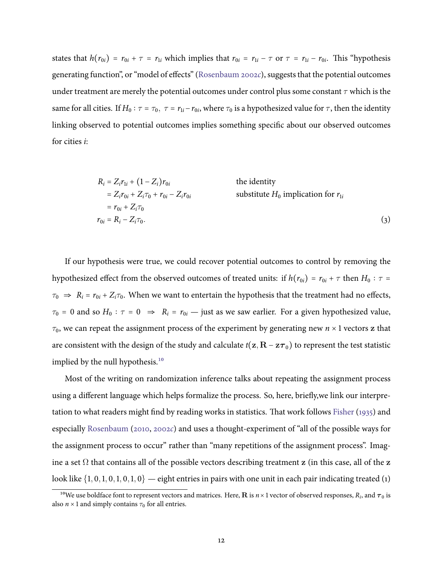states that  $h(r_{0i}) = r_{0i} + \tau = r_{1i}$  which implies that  $r_{0i} = r_{1i} - \tau$  or  $\tau = r_{1i} - r_{0i}$ . This "hypothesis generating function", or "model of effects" (Rosenbaum 2002c), suggests that the potential outcomes under treatment are merely the potential outcomes under control plus some constant  $\tau$  which is the same for all cities. If  $H_0: \tau = \tau_0$ ,  $\tau = r_{1i} - r_{0i}$ , where  $\tau_0$  is a hypothesized value for  $\tau$ , then the identity linking observed to potential outcomes implies something specific about our observed outcomes for cities  $i$ :

<span id="page-12-0"></span>
$$
R_i = Z_i r_{1i} + (1 - Z_i) r_{0i}
$$
 the identity  
\n
$$
= Z_i r_{0i} + Z_i \tau_0 + r_{0i} - Z_i r_{0i}
$$
 substitute  $H_0$  implication for  $r_{1i}$   
\n
$$
r_{0i} = R_i - Z_i \tau_0.
$$
 (3)

If our hypothesis were true, we could recover potential outcomes to control by removing the hypothesized effect from the observed outcomes of treated units: if  $h(r_{0i}) = r_{0i} + \tau$  then  $H_0 : \tau =$  $\tau_0 \Rightarrow R_i = r_{0i} + Z_i \tau_0$ . When we want to entertain the hypothesis that the treatment had no effects,  $\tau_0 = 0$  and so  $H_0$ :  $\tau = 0 \Rightarrow R_i = r_{0i}$  - just as we saw earlier. For a given hypothesized value,  $\tau_0$ , we can repeat the assignment process of the experiment by generating new  $n \times 1$  vectors z that are consistent with the design of the study and calculate  $t(\mathbf{z}, \mathbf{R} - \mathbf{z} \tau_0)$  to represent the test statistic implied by the null hypothesis.<sup>10</sup>

Most of the writing on randomization inference talks about repeating the assignment process using a different language which helps formalize the process. So, here, briefly, we link our interpretation to what readers might find by reading works in statistics. That work follows Fisher (1935) and especially Rosenbaum (2010, 2002c) and uses a thought-experiment of "all of the possible ways for the assignment process to occur" rather than "many repetitions of the assignment process". Imagine a set  $\Omega$  that contains all of the possible vectors describing treatment z (in this case, all of the z look like  $\{1, 0, 1, 0, 1, 0, 1, 0\}$  — eight entries in pairs with one unit in each pair indicating treated (1)

<sup>&</sup>lt;sup>10</sup>We use boldface font to represent vectors and matrices. Here, **R** is  $n \times 1$  vector of observed responses,  $R_i$ , and  $\tau_0$  is also  $n \times 1$  and simply contains  $\tau_0$  for all entries.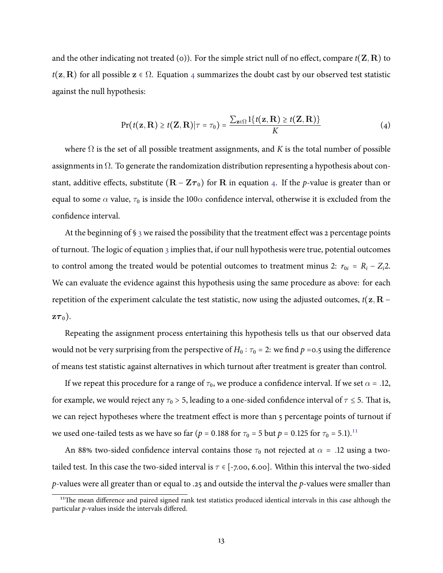<span id="page-13-0"></span>and the other indicating not treated (o)). For the simple strict null of no effect, compare  $t(\mathbf{Z}, \mathbf{R})$  to  $t(\mathbf{z}, \mathbf{R})$  for all possible  $\mathbf{z} \in \Omega$ . Equation 4 summarizes the doubt cast by our observed test statistic against the null hypothesis:

$$
Pr(t(\mathbf{z}, \mathbf{R}) \ge t(\mathbf{Z}, \mathbf{R}) | \tau = \tau_0) = \frac{\sum_{\mathbf{z} \in \Omega} 1\{t(\mathbf{z}, \mathbf{R}) \ge t(\mathbf{Z}, \mathbf{R})\}}{K}
$$
(4)

where  $\Omega$  is the set of all possible treatment assignments, and K is the total number of possible assignments in  $\Omega$ . To generate the randomization distribution representing a hypothesis about constant, additive effects, substitute  $(R - Z\tau_0)$  for R in equation 4. If the p-value is greater than or equal to some  $\alpha$  value,  $\tau_0$  is inside the 100 $\alpha$  confidence interval, otherwise it is excluded from the confidence interval.

At the beginning of  $\S$  3 we raised the possibility that the treatment effect was 2 percentage points of turnout. The logic of equation 3 implies that, if our null hypothesis were true, potential outcomes to control among the treated would be potential outcomes to treatment minus 2:  $r_{0i} = R_i - Z_i$ . We can evaluate the evidence against this hypothesis using the same procedure as above: for each repetition of the experiment calculate the test statistic, now using the adjusted outcomes,  $t(\mathbf{z}, \mathbf{R} - \mathbf{z})$  $z\tau_0$ ).

Repeating the assignment process entertaining this hypothesis tells us that our observed data would not be very surprising from the perspective of  $H_0: \tau_0 = 2$ : we find  $p = 0.5$  using the difference of means test statistic against alternatives in which turnout after treatment is greater than control.

If we repeat this procedure for a range of  $\tau_0$ , we produce a confidence interval. If we set  $\alpha = .12$ , for example, we would reject any  $\tau_0 > 5$ , leading to a one-sided confidence interval of  $\tau \leq 5$ . That is, we can reject hypotheses where the treatment effect is more than 5 percentage points of turnout if we used one-tailed tests as we have so far ( $p = 0.188$  for  $\tau_0 = 5$  but  $p = 0.125$  for  $\tau_0 = 5.1$ ).<sup>11</sup>

An 88% two-sided confidence interval contains those  $\tau_0$  not rejected at  $\alpha$  = .12 using a twotailed test. In this case the two-sided interval is  $\tau \in [-7.00, 6.00]$ . Within this interval the two-sided p-values were all greater than or equal to .25 and outside the interval the  $p$ -values were smaller than

<sup>&</sup>lt;sup>11</sup>The mean difference and paired signed rank test statistics produced identical intervals in this case although the particular  $p$ -values inside the intervals differed.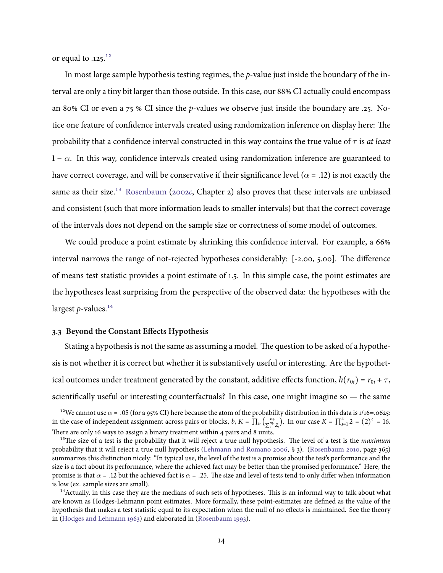or equal to .125.<sup>12</sup>

In most large sample hypothesis testing regimes, the  $p$ -value just inside the boundary of the interval are only a tiny bit larger than those outside. In this case, our 88% CI actually could encompass an 80% CI or even a 75 % CI since the p-values we observe just inside the boundary are .25. Notice one feature of confidence intervals created using randomization inference on display here: The probability that a confidence interval constructed in this way contains the true value of  $\tau$  is at least  $1 - \alpha$ . In this way, confidence intervals created using randomization inference are guaranteed to have correct coverage, and will be conservative if their significance level ( $\alpha$  = .12) is not exactly the same as their size.<sup>13</sup> Rosenbaum (2002c, Chapter 2) also proves that these intervals are unbiased and consistent (such that more information leads to smaller intervals) but that the correct coverage of the intervals does not depend on the sample size or correctness of some model of outcomes.

We could produce a point estimate by shrinking this confidence interval. For example, a 66% interval narrows the range of not-rejected hypotheses considerably: [-2.00, 5.00]. The difference of means test statistic provides a point estimate of 1.5. In this simple case, the point estimates are the hypotheses least surprising from the perspective of the observed data: the hypotheses with the largest  $p$ -values.<sup>14</sup>

#### 3.3 Beyond the Constant Effects Hypothesis

Stating a hypothesis is not the same as assuming a model. The question to be asked of a hypothesis is not whether it is correct but whether it is substantively useful or interesting. Are the hypothetical outcomes under treatment generated by the constant, additive effects function,  $h(r_{0i}) = r_{0i} + \tau$ , scientifically useful or interesting counterfactuals? In this case, one might imagine so — the same

<sup>&</sup>lt;sup>12</sup>We cannot use  $\alpha$  = .05 (for a 95% CI) here because the atom of the probability distribution in this data is 1/16=.0625: in the case of independent assignment across pairs or blocks,  $b, K = \prod_b \left( \frac{n_b}{\sum_{i=1}^{n_b} Z_i} \right)$ . In our case  $K = \prod_{s=1}^{4} 2 = (2)^4 = 16$ . There are only 16 ways to assign a binary treatment within 4 pairs and 8 units.

<sup>&</sup>lt;sup>13</sup>The size of a test is the probability that it will reject a true null hypothesis. The level of a test is the *maximum* probability that it will reject a true null hypothesis (Lehmann and Romano 2006, § 3). (Rosenbaum 2010, page 365) summarizes this distinction nicely: "In typical use, the level of the test is a promise about the test's performance and the size is a fact about its performance, where the achieved fact may be better than the promised performance." Here, the promise is that  $\alpha$  = .12 but the achieved fact is  $\alpha$  = .25. The size and level of tests tend to only differ when information is low (ex. sample sizes are small).

<sup>&</sup>lt;sup>14</sup> Actually, in this case they are the medians of such sets of hypotheses. This is an informal way to talk about what are known as Hodges-Lehmann point estimates. More formally, these point-estimates are defined as the value of the hypothesis that makes a test statistic equal to its expectation when the null of no effects is maintained. See the theory in (Hodges and Lehmann 1963) and elaborated in (Rosenbaum 1993).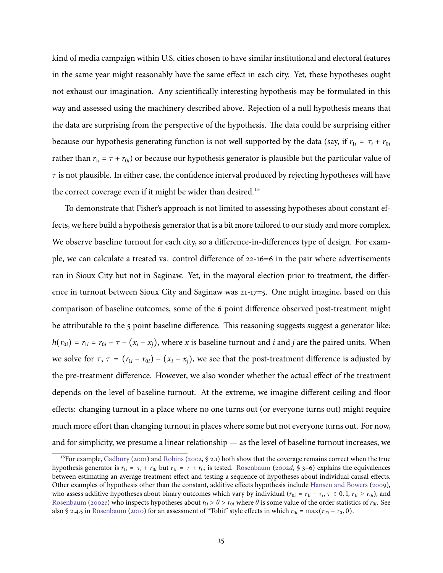kind of media campaign within U.S. cities chosen to have similar institutional and electoral features in the same year might reasonably have the same effect in each city. Yet, these hypotheses ought not exhaust our imagination. Any scientifically interesting hypothesis may be formulated in this way and assessed using the machinery described above. Rejection of a null hypothesis means that the data are surprising from the perspective of the hypothesis. The data could be surprising either because our hypothesis generating function is not well supported by the data (say, if  $r_{1i} = \tau_i + r_{0i}$ rather than  $r_{1i} = \tau + r_{0i}$ ) or because our hypothesis generator is plausible but the particular value of  $\tau$  is not plausible. In either case, the confidence interval produced by rejecting hypotheses will have the correct coverage even if it might be wider than desired.<sup>15</sup>

To demonstrate that Fisher's approach is not limited to assessing hypotheses about constant effects, we here build a hypothesis generator that is a bit more tailored to our study and more complex. We observe baseline turnout for each city, so a difference-in-differences type of design. For example, we can calculate a treated vs. control difference of 22-16=6 in the pair where advertisements ran in Sioux City but not in Saginaw. Yet, in the mayoral election prior to treatment, the difference in turnout between Sioux City and Saginaw was  $21-17=5$ . One might imagine, based on this comparison of baseline outcomes, some of the 6 point difference observed post-treatment might be attributable to the 5 point baseline difference. This reasoning suggests suggest a generator like:  $h(r_{0i}) = r_{1i} = r_{0i} + \tau - (x_i - x_i)$ , where x is baseline turnout and i and j are the paired units. When we solve for  $\tau$ ,  $\tau = (r_{1i} - r_{0i}) - (x_i - x_i)$ , we see that the post-treatment difference is adjusted by the pre-treatment difference. However, we also wonder whether the actual effect of the treatment depends on the level of baseline turnout. At the extreme, we imagine different ceiling and floor effects: changing turnout in a place where no one turns out (or everyone turns out) might require much more effort than changing turnout in places where some but not everyone turns out. For now, and for simplicity, we presume a linear relationship  $-$  as the level of baseline turnout increases, we

<sup>&</sup>lt;sup>15</sup>For example, Gadbury (2001) and Robins (2002, § 2.1) both show that the coverage remains correct when the true hypothesis generator is  $r_{1i} = \tau_i + r_{0i}$  but  $r_{1i} = \tau + r_{0i}$  is tested. Rosenbaum (2002d, § 3-6) explains the equivalences between estimating an average treatment effect and testing a sequence of hypotheses about individual causal effects. Other examples of hypothesis other than the constant, additive effects hypothesis include Hansen and Bowers (2009), who assess additive hypotheses about binary outcomes which vary by individual  $(r_{0i} = r_{1i} - \tau_i, \tau \in 0, 1, r_{1i} \ge r_{0i})$ , and Rosenbaum (2002e) who inspects hypotheses about  $r_{1i} > \theta > r_{0i}$  where  $\theta$  is some value of the order statistics of  $r_{0i}$ . See also § 2.4.5 in Rosenbaum (2010) for an assessment of "Tobit" style effects in which  $r_{0i} = \max(r_{Ti} - \tau_0, 0)$ .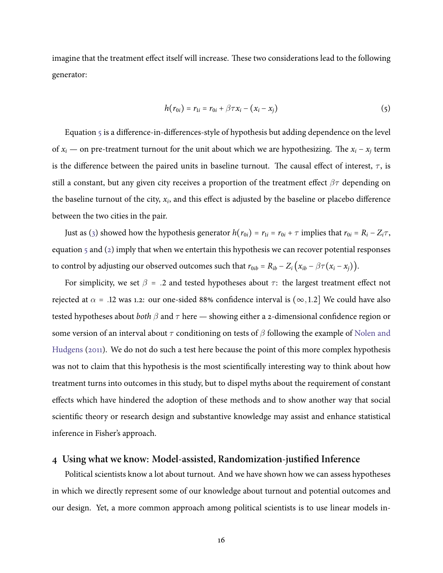<span id="page-16-0"></span>imagine that the treatment effect itself will increase. These two considerations lead to the following generator:

$$
h(r_{0i}) = r_{1i} = r_{0i} + \beta \tau x_i - (x_i - x_i)
$$
\n(5)

Equation 5 is a difference-in-differences-style of hypothesis but adding dependence on the level of  $x_i$  — on pre-treatment turnout for the unit about which we are hypothesizing. The  $x_i - x_j$  term is the difference between the paired units in baseline turnout. The causal effect of interest,  $\tau$ , is still a constant, but any given city receives a proportion of the treatment effect  $\beta\tau$  depending on the baseline turnout of the city,  $x_i$ , and this effect is adjusted by the baseline or placebo difference between the two cities in the pair.

Just as (3) showed how the hypothesis generator  $h(r_{0i}) = r_{1i} = r_{0i} + \tau$  implies that  $r_{0i} = R_i - Z_i \tau$ , equation 5 and (2) imply that when we entertain this hypothesis we can recover potential responses to control by adjusting our observed outcomes such that  $r_{0ib} = R_{ib} - Z_i (x_{ib} - \beta \tau (x_i - x_j)).$ 

For simplicity, we set  $\beta$  = .2 and tested hypotheses about  $\tau$ : the largest treatment effect not rejected at  $\alpha$  = .12 was 1.2: our one-sided 88% confidence interval is ( $\infty$ , 1.2) We could have also tested hypotheses about *both*  $\beta$  and  $\tau$  here — showing either a 2-dimensional confidence region or some version of an interval about  $\tau$  conditioning on tests of  $\beta$  following the example of Nolen and Hudgens (2011). We do not do such a test here because the point of this more complex hypothesis was not to claim that this hypothesis is the most scientifically interesting way to think about how treatment turns into outcomes in this study, but to dispel myths about the requirement of constant effects which have hindered the adoption of these methods and to show another way that social scientific theory or research design and substantive knowledge may assist and enhance statistical inference in Fisher's approach.

# 4 Using what we know: Model-assisted, Randomization-justified Inference

Political scientists know a lot about turnout. And we have shown how we can assess hypotheses in which we directly represent some of our knowledge about turnout and potential outcomes and our design. Yet, a more common approach among political scientists is to use linear models in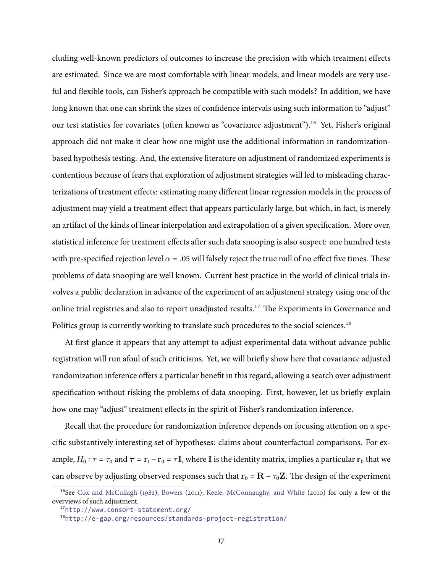cluding well-known predictors of outcomes to increase the precision with which treatment effects are estimated. Since we are most comfortable with linear models, and linear models are very useful and flexible tools, can Fisher's approach be compatible with such models? In addition, we have long known that one can shrink the sizes of confidence intervals using such information to "adjust" our test statistics for covariates (often known as "covariance adjustment").<sup>16</sup> Yet, Fisher's original approach did not make it clear how one might use the additional information in randomizationbased hypothesis testing. And, the extensive literature on adjustment of randomized experiments is contentious because of fears that exploration of adjustment strategies will led to misleading characterizations of treatment effects: estimating many different linear regression models in the process of adjustment may yield a treatment effect that appears particularly large, but which, in fact, is merely an artifact of the kinds of linear interpolation and extrapolation of a given specification. More over, statistical inference for treatment effects after such data snooping is also suspect: one hundred tests with pre-specified rejection level  $\alpha$  = .05 will falsely reject the true null of no effect five times. These problems of data snooping are well known. Current best practice in the world of clinical trials involves a public declaration in advance of the experiment of an adjustment strategy using one of the online trial registries and also to report unadjusted results.<sup>17</sup> The Experiments in Governance and Politics group is currently working to translate such procedures to the social sciences.<sup>18</sup>

At first glance it appears that any attempt to adjust experimental data without advance public registration will run afoul of such criticisms. Yet, we will briefly show here that covariance adjusted randomization inference offers a particular benefit in this regard, allowing a search over adjustment specification without risking the problems of data snooping. First, however, let us briefly explain how one may "adjust" treatment effects in the spirit of Fisher's randomization inference.

Recall that the procedure for randomization inference depends on focusing attention on a specific substantively interesting set of hypotheses: claims about counterfactual comparisons. For example,  $H_0: \tau = \tau_0$  and  $\tau = \mathbf{r}_1 - \mathbf{r}_0 = \tau \mathbf{I}$ , where **I** is the identity matrix, implies a particular  $\mathbf{r}_0$  that we can observe by adjusting observed responses such that  $\mathbf{r}_0 = \mathbf{R} - \tau_0 \mathbf{Z}$ . The design of the experiment

<sup>&</sup>lt;sup>16</sup>See Cox and McCullagh (1982); Bowers (2011); Keele, McConnaughy, and White (2010) for only a few of the overviews of such adjustment.

<sup>&</sup>lt;sup>17</sup>http://www.consort-statement.org/

<sup>&</sup>lt;sup>18</sup>http://e-gap.org/resources/standards-project-registration/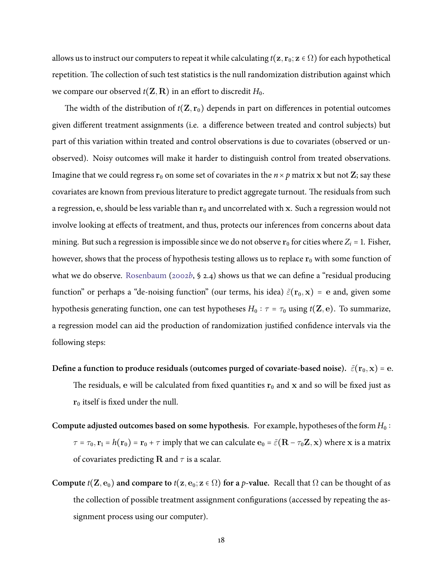allows us to instruct our computers to repeat it while calculating  $t(\mathbf{z}, \mathbf{r}_0; \mathbf{z} \in \Omega)$  for each hypothetical repetition. The collection of such test statistics is the null randomization distribution against which we compare our observed  $t(\mathbf{Z}, \mathbf{R})$  in an effort to discredit  $H_0$ .

The width of the distribution of  $t(\mathbf{Z}, \mathbf{r}_0)$  depends in part on differences in potential outcomes given different treatment assignments (i.e. a difference between treated and control subjects) but part of this variation within treated and control observations is due to covariates (observed or unobserved). Noisy outcomes will make it harder to distinguish control from treated observations. Imagine that we could regress  $r_0$  on some set of covariates in the  $n \times p$  matrix x but not Z; say these covariates are known from previous literature to predict aggregate turnout. The residuals from such a regression, e, should be less variable than  $r_0$  and uncorrelated with x. Such a regression would not involve looking at effects of treatment, and thus, protects our inferences from concerns about data mining. But such a regression is impossible since we do not observe  $r_0$  for cities where  $Z_i = 1$ . Fisher, however, shows that the process of hypothesis testing allows us to replace  $r_0$  with some function of what we do observe. Rosenbaum (2002b,  $\S$  2.4) shows us that we can define a "residual producing function" or perhaps a "de-noising function" (our terms, his idea)  $\tilde{\varepsilon}(\mathbf{r}_0, \mathbf{x}) = \mathbf{e}$  and, given some hypothesis generating function, one can test hypotheses  $H_0: \tau = \tau_0$  using  $t(\mathbf{Z}, \mathbf{e})$ . To summarize, a regression model can aid the production of randomization justified confidence intervals via the following steps:

- Define a function to produce residuals (outcomes purged of covariate-based noise).  $\tilde{\varepsilon}(\mathbf{r}_0, \mathbf{x}) = \mathbf{e}$ . The residuals, e will be calculated from fixed quantities  $r_0$  and x and so will be fixed just as  $r_0$  itself is fixed under the null.
- Compute adjusted outcomes based on some hypothesis. For example, hypotheses of the form  $H_0$ :  $\tau = \tau_0$ ,  $\mathbf{r}_1 = h(\mathbf{r}_0) = \mathbf{r}_0 + \tau$  imply that we can calculate  $\mathbf{e}_0 = \tilde{\varepsilon}(\mathbf{R} - \tau_0 \mathbf{Z}, \mathbf{x})$  where x is a matrix of covariates predicting R and  $\tau$  is a scalar.
- Compute  $t(\mathbf{Z}, \mathbf{e}_0)$  and compare to  $t(\mathbf{z}, \mathbf{e}_0; \mathbf{z} \in \Omega)$  for a p-value. Recall that  $\Omega$  can be thought of as the collection of possible treatment assignment configurations (accessed by repeating the assignment process using our computer).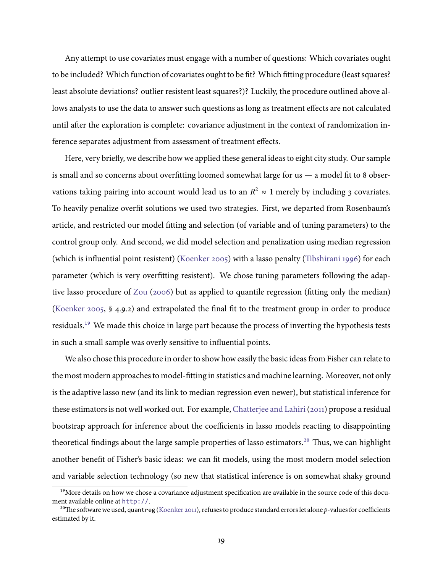Any attempt to use covariates must engage with a number of questions: Which covariates ought to be included? Which function of covariates ought to be fit? Which fitting procedure (least squares? least absolute deviations? outlier resistent least squares?)? Luckily, the procedure outlined above allows analysts to use the data to answer such questions as long as treatment effects are not calculated until after the exploration is complete: covariance adjustment in the context of randomization inference separates adjustment from assessment of treatment effects.

Here, very briefly, we describe how we applied these general ideas to eight city study. Our sample is small and so concerns about overfitting loomed somewhat large for us — a model fit to 8 observations taking pairing into account would lead us to an  $R^2 \approx 1$  merely by including 3 covariates. To heavily penalize overfit solutions we used two strategies. First, we departed from Rosenbaum's article, and restricted our model fitting and selection (of variable and of tuning parameters) to the control group only. And second, we did model selection and penalization using median regression (which is influential point resistent) (Koenker 2005) with a lasso penalty (Tibshirani 1996) for each parameter (which is very overfitting resistent). We chose tuning parameters following the adaptive lasso procedure of Zou (2006) but as applied to quantile regression (fitting only the median) (Koenker 2005, § 4.9.2) and extrapolated the final fit to the treatment group in order to produce residuals.<sup>19</sup> We made this choice in large part because the process of inverting the hypothesis tests in such a small sample was overly sensitive to influential points.

We also chose this procedure in order to show how easily the basic ideas from Fisher can relate to the most modern approaches to model-fitting in statistics and machine learning. Moreover, not only is the adaptive lasso new (and its link to median regression even newer), but statistical inference for these estimators is not well worked out. For example, Chatterjee and Lahiri (2011) propose a residual bootstrap approach for inference about the coefficients in lasso models reacting to disappointing theoretical findings about the large sample properties of lasso estimators.<sup>20</sup> Thus, we can highlight another benefit of Fisher's basic ideas: we can fit models, using the most modern model selection and variable selection technology (so new that statistical inference is on somewhat shaky ground

<sup>&</sup>lt;sup>19</sup>More details on how we chose a covariance adjustment specification are available in the source code of this document available online at http://.

<sup>&</sup>lt;sup>20</sup>The software we used, quantreg (Koenker 2011), refuses to produce standard errors let alone p-values for coefficients estimated by it.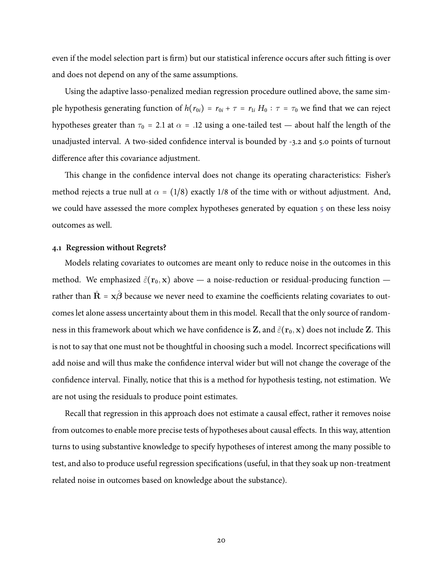even if the model selection part is firm) but our statistical inference occurs after such fitting is over and does not depend on any of the same assumptions.

Using the adaptive lasso-penalized median regression procedure outlined above, the same simple hypothesis generating function of  $h(r_{0i}) = r_{0i} + \tau = r_{1i} H_0 : \tau = \tau_0$  we find that we can reject hypotheses greater than  $\tau_0$  = 2.1 at  $\alpha$  = .12 using a one-tailed test — about half the length of the unadjusted interval. A two-sided confidence interval is bounded by -3.2 and 5.0 points of turnout difference after this covariance adjustment.

This change in the confidence interval does not change its operating characteristics: Fisher's method rejects a true null at  $\alpha = (1/8)$  exactly 1/8 of the time with or without adjustment. And, we could have assessed the more complex hypotheses generated by equation  $\frac{1}{2}$  on these less noisy outcomes as well.

#### 4.1 Regression without Regrets?

Models relating covariates to outcomes are meant only to reduce noise in the outcomes in this method. We emphasized  $\tilde{\varepsilon}(\mathbf{r}_0, \mathbf{x})$  above — a noise-reduction or residual-producing function rather than  $\hat{\mathbf{R}} = \mathbf{x}\hat{\boldsymbol{\beta}}$  because we never need to examine the coefficients relating covariates to outcomes let alone assess uncertainty about them in this model. Recall that the only source of randomness in this framework about which we have confidence is Z, and  $\tilde{\varepsilon}(\mathbf{r}_0, \mathbf{x})$  does not include Z. This is not to say that one must not be thoughtful in choosing such a model. Incorrect specifications will add noise and will thus make the confidence interval wider but will not change the coverage of the confidence interval. Finally, notice that this is a method for hypothesis testing, not estimation. We are not using the residuals to produce point estimates.

Recall that regression in this approach does not estimate a causal effect, rather it removes noise from outcomes to enable more precise tests of hypotheses about causal effects. In this way, attention turns to using substantive knowledge to specify hypotheses of interest among the many possible to test, and also to produce useful regression specifications (useful, in that they soak up non-treatment related noise in outcomes based on knowledge about the substance).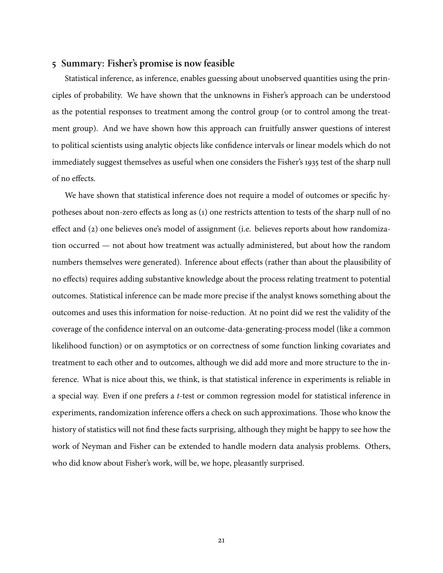## 5 Summary: Fisher's promise is now feasible

Statistical inference, as inference, enables guessing about unobserved quantities using the principles of probability. We have shown that the unknowns in Fisher's approach can be understood as the potential responses to treatment among the control group (or to control among the treatment group). And we have shown how this approach can fruitfully answer questions of interest to political scientists using analytic objects like confidence intervals or linear models which do not immediately suggest themselves as useful when one considers the Fisher's 1935 test of the sharp null of no effects.

We have shown that statistical inference does not require a model of outcomes or specific hypotheses about non-zero effects as long as (1) one restricts attention to tests of the sharp null of no effect and (2) one believes one's model of assignment (i.e. believes reports about how randomization occurred — not about how treatment was actually administered, but about how the random numbers themselves were generated). Inference about effects (rather than about the plausibility of no effects) requires adding substantive knowledge about the process relating treatment to potential outcomes. Statistical inference can be made more precise if the analyst knows something about the outcomes and uses this information for noise-reduction. At no point did we rest the validity of the coverage of the confidence interval on an outcome-data-generating-process model (like a common likelihood function) or on asymptotics or on correctness of some function linking covariates and treatment to each other and to outcomes, although we did add more and more structure to the inference. What is nice about this, we think, is that statistical inference in experiments is reliable in a special way. Even if one prefers a *t*-test or common regression model for statistical inference in experiments, randomization inference offers a check on such approximations. Those who know the history of statistics will not find these facts surprising, although they might be happy to see how the work of Neyman and Fisher can be extended to handle modern data analysis problems. Others, who did know about Fisher's work, will be, we hope, pleasantly surprised.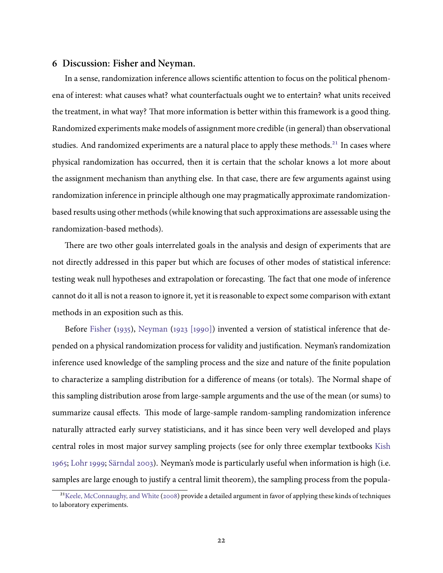## 6 Discussion: Fisher and Neyman.

In a sense, randomization inference allows scientific attention to focus on the political phenomena of interest: what causes what? what counterfactuals ought we to entertain? what units received the treatment, in what way? That more information is better within this framework is a good thing. Randomized experiments make models of assignment more credible (in general) than observational studies. And randomized experiments are a natural place to apply these methods.<sup>21</sup> In cases where physical randomization has occurred, then it is certain that the scholar knows a lot more about the assignment mechanism than anything else. In that case, there are few arguments against using randomization inference in principle although one may pragmatically approximate randomizationbased results using other methods (while knowing that such approximations are assessable using the randomization-based methods).

There are two other goals interrelated goals in the analysis and design of experiments that are not directly addressed in this paper but which are focuses of other modes of statistical inference: testing weak null hypotheses and extrapolation or forecasting. The fact that one mode of inference cannot do it all is not a reason to ignore it, yet it is reasonable to expect some comparison with extant methods in an exposition such as this.

Before Fisher (1935), Neyman (1923 [1990]) invented a version of statistical inference that depended on a physical randomization process for validity and justification. Neyman's randomization inference used knowledge of the sampling process and the size and nature of the finite population to characterize a sampling distribution for a difference of means (or totals). The Normal shape of this sampling distribution arose from large-sample arguments and the use of the mean (or sums) to summarize causal effects. This mode of large-sample random-sampling randomization inference naturally attracted early survey statisticians, and it has since been very well developed and plays central roles in most major survey sampling projects (see for only three exemplar textbooks Kish 1965; Lohr 1999; Särndal 2003). Neyman's mode is particularly useful when information is high (i.e. samples are large enough to justify a central limit theorem), the sampling process from the popula-

<sup>&</sup>lt;sup>21</sup>Keele, McConnaughy, and White (2008) provide a detailed argument in favor of applying these kinds of techniques to laboratory experiments.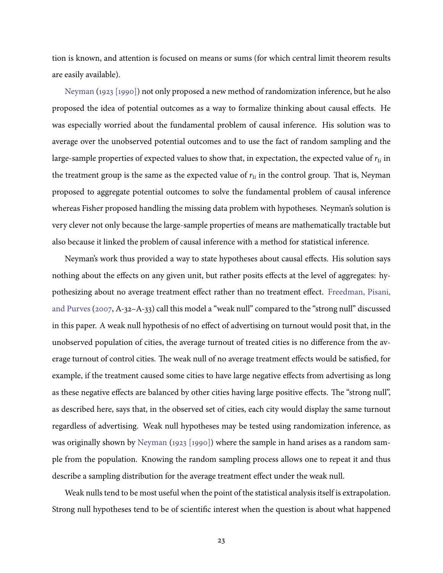tion is known, and attention is focused on means or sums (for which central limit theorem results are easily available).

Neyman (1923 [1990]) not only proposed a new method of randomization inference, but he also proposed the idea of potential outcomes as a way to formalize thinking about causal effects. He was especially worried about the fundamental problem of causal inference. His solution was to average over the unobserved potential outcomes and to use the fact of random sampling and the large-sample properties of expected values to show that, in expectation, the expected value of  $r_{1i}$  in the treatment group is the same as the expected value of  $r_{1i}$  in the control group. That is, Neyman proposed to aggregate potential outcomes to solve the fundamental problem of causal inference whereas Fisher proposed handling the missing data problem with hypotheses. Neyman's solution is very clever not only because the large-sample properties of means are mathematically tractable but also because it linked the problem of causal inference with a method for statistical inference.

Neyman's work thus provided a way to state hypotheses about causal effects. His solution says nothing about the effects on any given unit, but rather posits effects at the level of aggregates: hypothesizing about no average treatment effect rather than no treatment effect. Freedman, Pisani, and Purves (2007, A-32-A-33) call this model a "weak null" compared to the "strong null" discussed in this paper. A weak null hypothesis of no effect of advertising on turnout would posit that, in the unobserved population of cities, the average turnout of treated cities is no difference from the average turnout of control cities. The weak null of no average treatment effects would be satisfied, for example, if the treatment caused some cities to have large negative effects from advertising as long as these negative effects are balanced by other cities having large positive effects. The "strong null", as described here, says that, in the observed set of cities, each city would display the same turnout regardless of advertising. Weak null hypotheses may be tested using randomization inference, as was originally shown by Neyman (1923 [1990]) where the sample in hand arises as a random sample from the population. Knowing the random sampling process allows one to repeat it and thus describe a sampling distribution for the average treatment effect under the weak null.

Weak nulls tend to be most useful when the point of the statistical analysis itself is extrapolation. Strong null hypotheses tend to be of scientific interest when the question is about what happened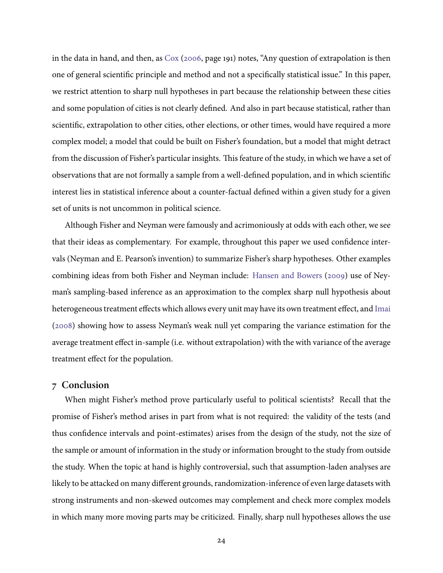in the data in hand, and then, as Cox (2006, page 191) notes, "Any question of extrapolation is then one of general scientific principle and method and not a specifically statistical issue." In this paper, we restrict attention to sharp null hypotheses in part because the relationship between these cities and some population of cities is not clearly defined. And also in part because statistical, rather than scientific, extrapolation to other cities, other elections, or other times, would have required a more complex model; a model that could be built on Fisher's foundation, but a model that might detract from the discussion of Fisher's particular insights. This feature of the study, in which we have a set of observations that are not formally a sample from a well-defined population, and in which scientific interest lies in statistical inference about a counter-factual defined within a given study for a given set of units is not uncommon in political science.

Although Fisher and Neyman were famously and acrimoniously at odds with each other, we see that their ideas as complementary. For example, throughout this paper we used confidence intervals (Neyman and E. Pearson's invention) to summarize Fisher's sharp hypotheses. Other examples combining ideas from both Fisher and Neyman include: Hansen and Bowers (2009) use of Neyman's sampling-based inference as an approximation to the complex sharp null hypothesis about heterogeneous treatment effects which allows every unit may have its own treatment effect, and Imai (2008) showing how to assess Neyman's weak null yet comparing the variance estimation for the average treatment effect in-sample (i.e. without extrapolation) with the with variance of the average treatment effect for the population.

## 7 Conclusion

When might Fisher's method prove particularly useful to political scientists? Recall that the promise of Fisher's method arises in part from what is not required: the validity of the tests (and thus confidence intervals and point-estimates) arises from the design of the study, not the size of the sample or amount of information in the study or information brought to the study from outside the study. When the topic at hand is highly controversial, such that assumption-laden analyses are likely to be attacked on many different grounds, randomization-inference of even large datasets with strong instruments and non-skewed outcomes may complement and check more complex models in which many more moving parts may be criticized. Finally, sharp null hypotheses allows the use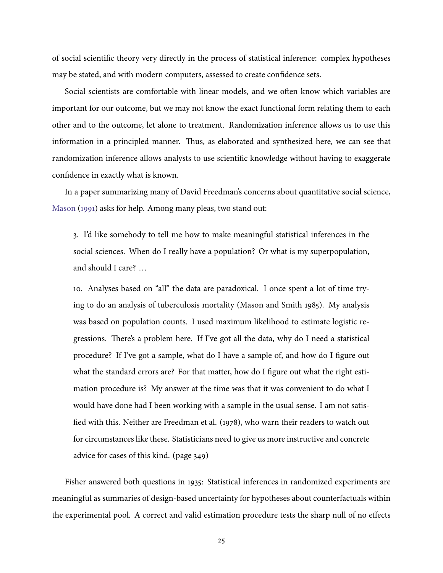of social scientific theory very directly in the process of statistical inference: complex hypotheses may be stated, and with modern computers, assessed to create confidence sets.

Social scientists are comfortable with linear models, and we often know which variables are important for our outcome, but we may not know the exact functional form relating them to each other and to the outcome, let alone to treatment. Randomization inference allows us to use this information in a principled manner. Thus, as elaborated and synthesized here, we can see that randomization inference allows analysts to use scientific knowledge without having to exaggerate confidence in exactly what is known.

In a paper summarizing many of David Freedman's concerns about quantitative social science, Mason (1991) asks for help. Among many pleas, two stand out:

3. I'd like somebody to tell me how to make meaningful statistical inferences in the social sciences. When do I really have a population? Or what is my superpopulation, and should I care? ...

10. Analyses based on "all" the data are paradoxical. I once spent a lot of time trying to do an analysis of tuberculosis mortality (Mason and Smith 1985). My analysis was based on population counts. I used maximum likelihood to estimate logistic regressions. There's a problem here. If I've got all the data, why do I need a statistical procedure? If I've got a sample, what do I have a sample of, and how do I figure out what the standard errors are? For that matter, how do I figure out what the right estimation procedure is? My answer at the time was that it was convenient to do what I would have done had I been working with a sample in the usual sense. I am not satisfied with this. Neither are Freedman et al. (1978), who warn their readers to watch out for circumstances like these. Statisticians need to give us more instructive and concrete advice for cases of this kind. (page 349)

Fisher answered both questions in 1935: Statistical inferences in randomized experiments are meaningful as summaries of design-based uncertainty for hypotheses about counterfactuals within the experimental pool. A correct and valid estimation procedure tests the sharp null of no effects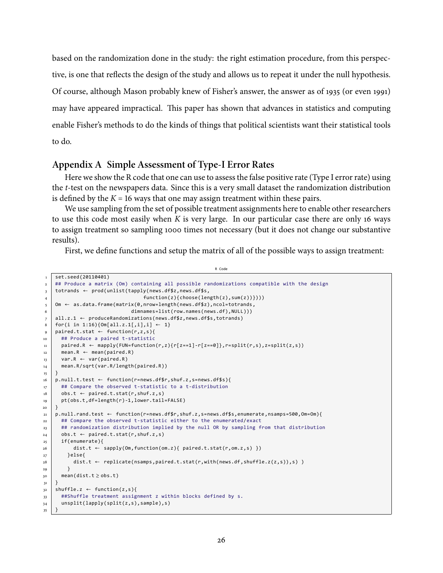based on the randomization done in the study: the right estimation procedure, from this perspective, is one that reflects the design of the study and allows us to repeat it under the null hypothesis. Of course, although Mason probably knew of Fisher's answer, the answer as of 1935 (or even 1991) may have appeared impractical. This paper has shown that advances in statistics and computing enable Fisher's methods to do the kinds of things that political scientists want their statistical tools to do.

# <span id="page-26-0"></span>Appendix A Simple Assessment of Type-I Error Rates

Here we show the R code that one can use to assess the false positive rate (Type I error rate) using the *t*-test on the newspapers data. Since this is a very small dataset the randomization distribution is defined by the  $K = 16$  ways that one may assign treatment within these pairs.

We use sampling from the set of possible treatment assignments here to enable other researchers to use this code most easily when  $K$  is very large. In our particular case there are only 16 ways to assign treatment so sampling 1000 times not necessary (but it does not change our substantive results).

First, we define functions and setup the matrix of all of the possible ways to assign treatment:

R Code

```
set.seed(20110401)
\overline{1}## Produce a matrix (Om) containing all possible randomizations compatible with the design
\mathbf 2totrands \leftarrow \text{prod}(\text{unlist}(\text{tapply}(\text{news}.df$z, news.df$s,
\overline{\mathbf{3}}function(z){choose(length(z),sum(z))})))
\overline{4}Om \leftarrow as.data.frame(matrix(0,nrow=length(news.df$z),ncol=totrands,
\overline{\phantom{0}}dimnames=list(row.names(news.df),NULL)))
6
    all.z.1 \leftarrow produceRandomizations(news.df$z,news.df$s,totrands)
\overline{z}\overline{\mathbf{8}}for(i in 1:16){Om[all.z.1[,i],i] \leftarrow 1}
    paired.t.stat \leftarrow function(r,z,s){
\overline{9}## Produce a paired t-statistic
10<sup>10</sup>paired.R \leftarrow mapply(FUN=function(r,z){r[z==1]-r[z==0]},r=split(r,s),z=split(z,s))
\overline{11}12<sup>12</sup>mean.R \leftarrow mean(paired.R)var.R \leftarrow var(pained.R)13mean.R/sqrt(var.R/length(paired.R))
^{\rm 14}\lambda15<sup>1</sup>p.null.t.test \leftarrow function(r=news.dff/r, shutf.z,s=news.dffs)16## Compare the observed t-statistic to a t-distribution
17obs.t \leftarrow paired.t.stat(r, shutf.z,s)^{\rm 18}19pt(obs.t,df=length(r)-1,lower.tail=FALSE)
20<sub>o</sub>\overline{21}p.null.rand.test ← function(r=news.df$r,shuf.z,s=news.df$s,enumerate,nsamps=500,0m=0m){
       ## Compare the observed t-statistic either to the enumerated/exact
2.2.23## randomization distribution implied by the null OR by sampling from that distribution
       obs.t \leftarrow paired.t.start(r, shutf.z,s)24if(enumerate){
25dist.t \leftarrow sapply(Om, function(om.z){ paired.t.stat(r,om.z,s) })
26}else{
27
            dist.t \leftarrow \text{ replicate}(nsamples, paired.t.start(r, with(news.df, shuffle.z(z,s)), s) )28\rightarrow29
       mean(dist.t \ge obs.t)30
31shuffle.z \leftarrow function(z,s)32##Shuffle treatment assignment z within blocks defined by s.
33unsplit(lapply(split(z,s),sample),s)
34- }
35
```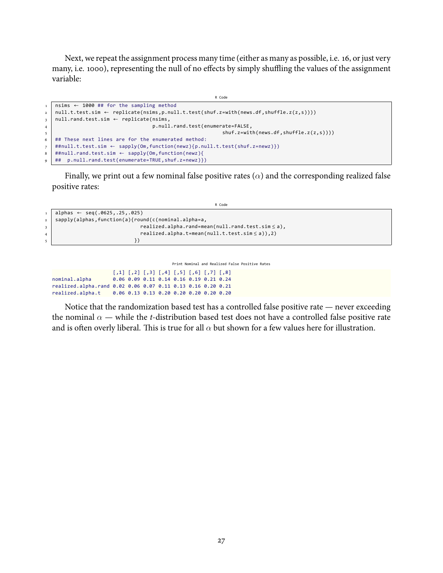Next, we repeat the assignment process many time (either as many as possible, i.e. 16, or just very many, i.e. 1000), representing the null of no effects by simply shuffling the values of the assignment variable:

```
R Code
1 n \sin s \leftarrow 1000 ## for the sampling method<br>2 null.t.test.isim \leftarrow replicate(nsims, p.nul)\frac{1}{3} null.t.test.sim ← replicate(nsims,p.null.t.test(shuf.z=with(news.df,shuffle.z(z,s))))<br>
null.rand.test.sim ← replicate(nsims,
\begin{array}{c} \text{in } \text{null.} \text{rand.test}.\text{sim} \leftarrow \text{replicate}(\text{nsims}, \text{p.} \text{null}) \end{array}p.null.rand.test(enumerate=FALSE,
\mathsf{b} shuf.z=with(news.df,shuffle.z(z,s))))
6 ## These next lines are for the enumerated method:
\begin{bmatrix} \n# \text{mu11.t.test.sim} \leftarrow \text{suply}(\text{Om}, \text{function}(\text{newz})\{p.\text{null.t.test}(\text{shuf}.z=\text{newz})\}) \\ \n # \text{mu11.randn.test.sim} \leftarrow \text{suply}(\text{Om}, \text{function}(\text{newz})\{p.\text{null.t.test}(\text{shuf}.z=\text{newz})\}) \n\end{bmatrix}* ##null.rand.test.sim ← sapply(Om,function(newz){<br>+## p.null.rand.test(enumerate=TRUE,shuf.z=newz)}
      ## p.null.rand.test(enumerate=TRUE, shuf.z=newz)})
```
Finally, we print out a few nominal false positive rates ( $\alpha$ ) and the corresponding realized false positive rates:

|                | R Code                                                 |
|----------------|--------------------------------------------------------|
|                | alphas $\leftarrow$ seq(.0625,.25,.025)                |
| 2 <sup>1</sup> | sapply(alphas, function(a){round(c(nominal.alpha=a,    |
|                | $realized.alpha.random(null.random.test,sim \leq a)$ , |
| $\overline{4}$ | $realized.alpha.t=mean(null.t.test,sim \leq a)$ , 2)   |
|                |                                                        |

Print Nominal and Realized False Positive Rates [,1] [,2] [,3] [,4] [,5] [,6] [,7] [,8] nominal.alpha 0.06 0.09 0.11 0.14 0.16 0.19 0.21 0.24 realized.alpha.rand 0.02 0.06 0.07 0.11 0.13 0.16 0.20 0.21 realized.alpha.t 0.06 0.13 0.13 0.20 0.20 0.20 0.20 0.20

Notice that the randomization based test has a controlled false positive rate  $-$  never exceeding the nominal  $\alpha$  — while the *t*-distribution based test does not have a controlled false positive rate and is often overly liberal. This is true for all  $\alpha$  but shown for a few values here for illustration.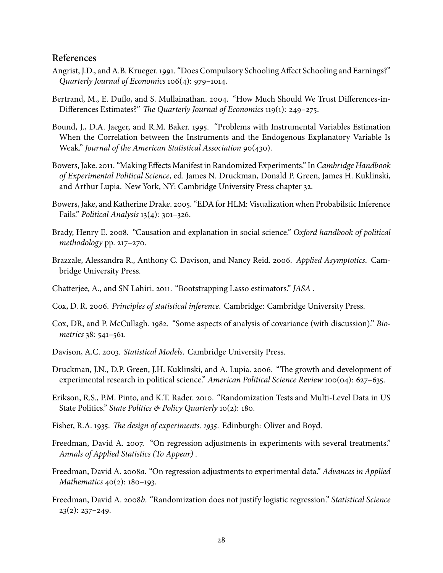# References

- <span id="page-28-8"></span>Angrist, J.D., and A.B. Krueger. 1991. "Does Compulsory Schooling Affect Schooling and Earnings?" Quarterly Journal of Economics  $106(4)$ : 979-1014.
- <span id="page-28-4"></span>Bertrand, M., E. Duflo, and S. Mullainathan. 2004. "How Much Should We Trust Differences-in-Differences Estimates?" The Quarterly Journal of Economics 119(1): 249-275.
- <span id="page-28-7"></span>Bound, J., D.A. Jaeger, and R.M. Baker. 1995. "Problems with Instrumental Variables Estimation When the Correlation between the Instruments and the Endogenous Explanatory Variable Is Weak." Journal of the American Statistical Association 90(430).
- <span id="page-28-14"></span>Bowers, Jake. 2011. "Making Effects Manifest in Randomized Experiments." In Cambridge Handbook of Experimental Political Science, ed. James N. Druckman, Donald P. Green, James H. Kuklinski, and Arthur Lupia. New York, NY: Cambridge University Press chapter 32.
- <span id="page-28-6"></span>Bowers, Jake, and Katherine Drake. 2005. "EDA for HLM: Visualization when Probabilstic Inference Fails." Political Analysis  $13(4)$ : 301-326.
- <span id="page-28-12"></span>Brady, Henry E. 2008. "Causation and explanation in social science." Oxford handbook of political  $methodology$  pp. 217-270.
- <span id="page-28-2"></span>Brazzale, Alessandra R., Anthony C. Davison, and Nancy Reid. 2006. Applied Asymptotics. Cambridge University Press.
- <span id="page-28-15"></span>Chatterjee, A., and SN Lahiri. 2011. "Bootstrapping Lasso estimators." JASA.
- <span id="page-28-16"></span>Cox, D. R. 2006. Principles of statistical inference. Cambridge: Cambridge University Press.
- <span id="page-28-13"></span>Cox, DR, and P. McCullagh. 1982. "Some aspects of analysis of covariance (with discussion)." Biometrics 38: 541-561.
- <span id="page-28-3"></span>Davison, A.C. 2003. Statistical Models. Cambridge University Press.
- <span id="page-28-1"></span>Druckman, J.N., D.P. Green, J.H. Kuklinski, and A. Lupia. 2006. "The growth and development of experimental research in political science." American Political Science Review 100(04): 627–635.
- <span id="page-28-5"></span>Erikson, R.S., P.M. Pinto, and K.T. Rader. 2010. "Randomization Tests and Multi-Level Data in US State Politics." State Politics & Policy Quarterly  $10(2)$ : 180.
- <span id="page-28-0"></span>Fisher, R.A. 1935. The design of experiments. 1935. Edinburgh: Oliver and Boyd.
- <span id="page-28-11"></span>Freedman, David A. 2007. "On regression adjustments in experiments with several treatments." Annals of Applied Statistics (To Appear).
- <span id="page-28-10"></span>Freedman, David A. 2008a. "On regression adjustments to experimental data." Advances in Applied Mathematics  $40(2)$ : 180-193.
- <span id="page-28-9"></span>Freedman, David A. 2008b. "Randomization does not justify logistic regression." Statistical Science  $23(2): 237 - 249.$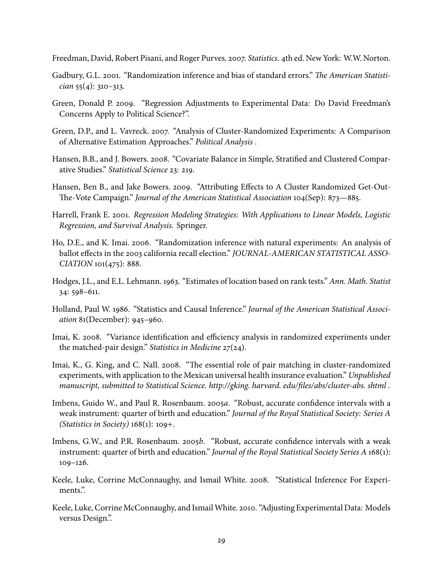<span id="page-29-14"></span>Freedman, David, Robert Pisani, and Roger Purves. 2007. Statistics. 4th ed. New York: W.W. Norton.

- <span id="page-29-12"></span>Gadbury, G.L. 2001. "Randomization inference and bias of standard errors." The American Statistician  $55(4)$ : 310-313.
- <span id="page-29-5"></span>Green, Donald P. 2009. "Regression Adjustments to Experimental Data: Do David Freedman's Concerns Apply to Political Science?".
- <span id="page-29-1"></span>Green, D.P., and L. Vavreck. 2007. "Analysis of Cluster-Randomized Experiments: A Comparison of Alternative Estimation Approaches." Political Analysis.
- <span id="page-29-3"></span>Hansen, B.B., and J. Bowers. 2008. "Covariate Balance in Simple, Stratified and Clustered Comparative Studies." Statistical Science 23: 219.
- <span id="page-29-2"></span>Hansen, Ben B., and Jake Bowers. 2009. "Attributing Effects to A Cluster Randomized Get-Out-The-Vote Campaign." Journal of the American Statistical Association 104(Sep): 873–885.
- <span id="page-29-0"></span>Harrell, Frank E. 2001. Regression Modeling Strategies: With Applications to Linear Models, Logistic Regression, and Survival Analysis. Springer.
- <span id="page-29-6"></span>Ho, D.E., and K. Imai. 2006. "Randomization inference with natural experiments: An analysis of ballot effects in the 2003 california recall election." *JOURNAL-AMERICAN STATISTICAL ASSO*  $CIATION 101(475): 888.$
- <span id="page-29-11"></span>Hodges, J.L., and E.L. Lehmann. 1963. "Estimates of location based on rank tests." Ann. Math. Statist  $34:598-611.$
- <span id="page-29-10"></span>Holland, Paul W. 1986. "Statistics and Causal Inference." Journal of the American Statistical Association  $81$ (December): 945-960.
- <span id="page-29-15"></span>Imai, K. 2008. "Variance identification and efficiency analysis in randomized experiments under the matched-pair design." Statistics in Medicine  $27(24)$ .
- <span id="page-29-9"></span>Imai, K., G. King, and C. Nall. 2008. "The essential role of pair matching in cluster-randomized experiments, with application to the Mexican universal health insurance evaluation." Unpublished manuscript, submitted to Statistical Science. http://gking. harvard. edu/files/abs/cluster-abs. shtml.
- <span id="page-29-8"></span>Imbens, Guido W., and Paul R. Rosenbaum. 2005a. "Robust, accurate confidence intervals with a weak instrument: quarter of birth and education." Journal of the Royal Statistical Society: Series A (Statistics in Society)  $168(1)$ : 109+.
- <span id="page-29-4"></span>Imbens, G.W., and P.R. Rosenbaum. 2005b. "Robust, accurate confidence intervals with a weak instrument: quarter of birth and education." Journal of the Royal Statistical Society Series A 168(1):  $109 - 126.$
- <span id="page-29-7"></span>Keele, Luke, Corrine McConnaughy, and Ismail White. 2008. "Statistical Inference For Experiments."
- <span id="page-29-13"></span>Keele, Luke, Corrine McConnaughy, and Ismail White. 2010. "Adjusting Experimental Data: Models versus Design.".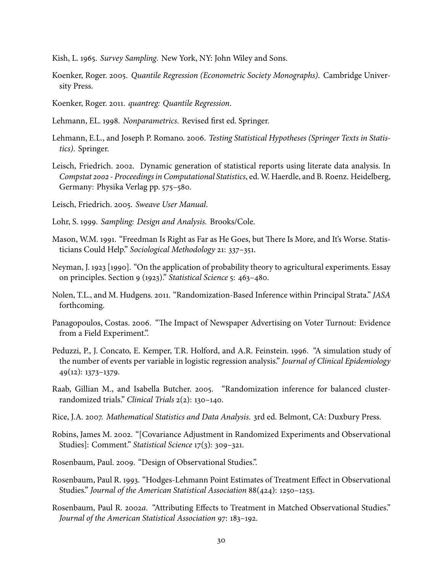<span id="page-30-16"></span>Kish, L. 1965. Survey Sampling. New York, NY: John Wiley and Sons.

<span id="page-30-14"></span>Koenker, Roger. 2005. Quantile Regression (Econometric Society Monographs). Cambridge University Press.

<span id="page-30-15"></span>Koenker, Roger. 2011. quantreg: Quantile Regression.

<span id="page-30-7"></span>Lehmann, EL. 1998. Nonparametrics. Revised first ed. Springer.

- <span id="page-30-10"></span>Lehmann, E.L., and Joseph P. Romano. 2006. Testing Statistical Hypotheses (Springer Texts in Statistics). Springer.
- <span id="page-30-1"></span>Leisch, Friedrich. 2002. Dynamic generation of statistical reports using literate data analysis. In Compstat 2002 - Proceedings in Computational Statistics, ed. W. Haerdle, and B. Roenz. Heidelberg, Germany: Physika Verlag pp. 575-580.

<span id="page-30-2"></span>Leisch, Friedrich. 2005. Sweave User Manual.

- <span id="page-30-17"></span>Lohr, S. 1999. Sampling: Design and Analysis. Brooks/Cole.
- <span id="page-30-18"></span>Mason, W.M. 1991. "Freedman Is Right as Far as He Goes, but There Is More, and It's Worse. Statisticians Could Help." Sociological Methodology 21: 337-351.
- <span id="page-30-6"></span>Neyman, J. 1923 [1990]. "On the application of probability theory to agricultural experiments. Essay on principles. Section 9 (1923)." Statistical Science 5: 463-480.
- <span id="page-30-13"></span>Nolen, T.L., and M. Hudgens. 2011. "Randomization-Based Inference within Principal Strata." JASA forthcoming.
- <span id="page-30-0"></span>Panagopoulos, Costas. 2006. "The Impact of Newspaper Advertising on Voter Turnout: Evidence from a Field Experiment.".
- <span id="page-30-4"></span>Peduzzi, P., J. Concato, E. Kemper, T.R. Holford, and A.R. Feinstein. 1996. "A simulation study of the number of events per variable in logistic regression analysis." Journal of Clinical Epidemiology  $49(12): 1373-1379.$
- <span id="page-30-5"></span>Raab, Gillian M., and Isabella Butcher. 2005. "Randomization inference for balanced clusterrandomized trials." Clinical Trials 2(2): 130-140.
- <span id="page-30-9"></span>Rice, J.A. 2007. Mathematical Statistics and Data Analysis. 3rd ed. Belmont, CA: Duxbury Press.
- <span id="page-30-12"></span>Robins, James M. 2002. "[Covariance Adjustment in Randomized Experiments and Observational Studies]: Comment." Statistical Science 17(3): 309–321.
- <span id="page-30-3"></span>Rosenbaum, Paul. 2009. "Design of Observational Studies.".
- <span id="page-30-11"></span>Rosenbaum, Paul R. 1993. "Hodges-Lehmann Point Estimates of Treatment Effect in Observational Studies." Journal of the American Statistical Association 88(424): 1250–1253.
- <span id="page-30-8"></span>Rosenbaum, Paul R. 2002a. "Attributing Effects to Treatment in Matched Observational Studies." Journal of the American Statistical Association 97: 183-192.